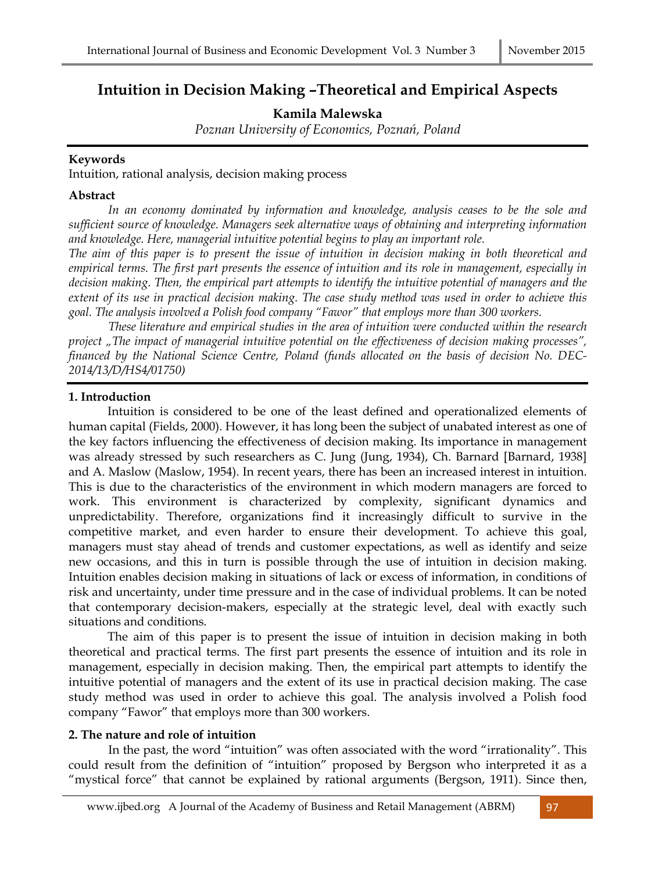# **Intuition in Decision Making –Theoretical and Empirical Aspects**

**Kamila Malewska** 

*Poznan University of Economics, Poznań, Poland* 

#### **Keywords**

Intuition, rational analysis, decision making process

#### **Abstract**

 *In an economy dominated by information and knowledge, analysis ceases to be the sole and sufficient source of knowledge. Managers seek alternative ways of obtaining and interpreting information and knowledge. Here, managerial intuitive potential begins to play an important role.* 

*The aim of this paper is to present the issue of intuition in decision making in both theoretical and empirical terms. The first part presents the essence of intuition and its role in management, especially in decision making. Then, the empirical part attempts to identify the intuitive potential of managers and the extent of its use in practical decision making. The case study method was used in order to achieve this goal. The analysis involved a Polish food company "Fawor" that employs more than 300 workers.* 

 *These literature and empirical studies in the area of intuition were conducted within the research project "The impact of managerial intuitive potential on the effectiveness of decision making processes", financed by the National Science Centre, Poland (funds allocated on the basis of decision No. DEC-2014/13/D/HS4/01750)*

# **1. Introduction**

Intuition is considered to be one of the least defined and operationalized elements of human capital (Fields, 2000). However, it has long been the subject of unabated interest as one of the key factors influencing the effectiveness of decision making. Its importance in management was already stressed by such researchers as C. Jung (Jung, 1934), Ch. Barnard [Barnard, 1938] and A. Maslow (Maslow, 1954). In recent years, there has been an increased interest in intuition. This is due to the characteristics of the environment in which modern managers are forced to work. This environment is characterized by complexity, significant dynamics and unpredictability. Therefore, organizations find it increasingly difficult to survive in the competitive market, and even harder to ensure their development. To achieve this goal, managers must stay ahead of trends and customer expectations, as well as identify and seize new occasions, and this in turn is possible through the use of intuition in decision making. Intuition enables decision making in situations of lack or excess of information, in conditions of risk and uncertainty, under time pressure and in the case of individual problems. It can be noted that contemporary decision-makers, especially at the strategic level, deal with exactly such situations and conditions.

The aim of this paper is to present the issue of intuition in decision making in both theoretical and practical terms. The first part presents the essence of intuition and its role in management, especially in decision making. Then, the empirical part attempts to identify the intuitive potential of managers and the extent of its use in practical decision making. The case study method was used in order to achieve this goal. The analysis involved a Polish food company "Fawor" that employs more than 300 workers.

# **2. The nature and role of intuition**

 In the past, the word "intuition" was often associated with the word "irrationality". This could result from the definition of "intuition" proposed by Bergson who interpreted it as a "mystical force" that cannot be explained by rational arguments (Bergson, 1911). Since then,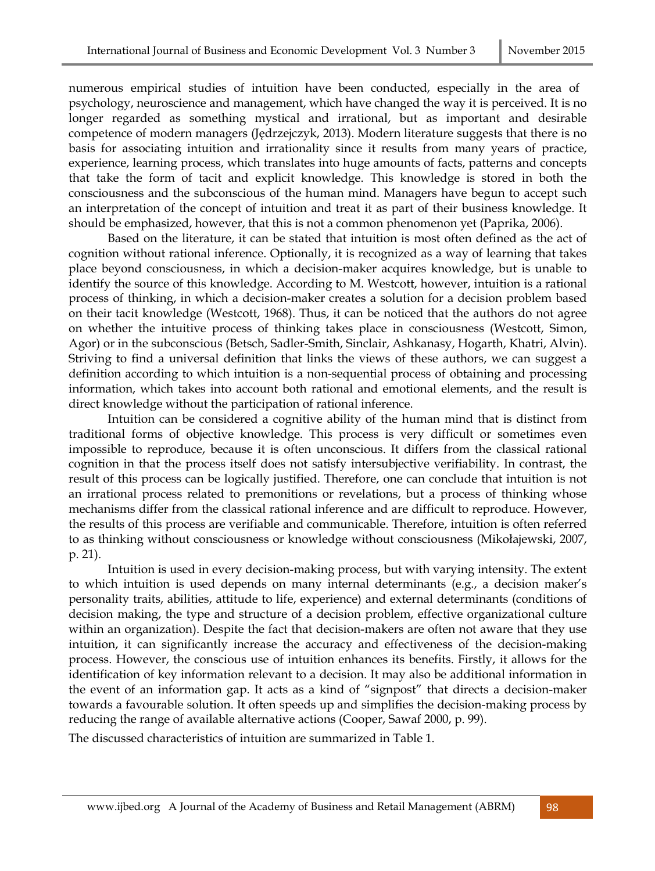numerous empirical studies of intuition have been conducted, especially in the area of psychology, neuroscience and management, which have changed the way it is perceived. It is no longer regarded as something mystical and irrational, but as important and desirable competence of modern managers (Jędrzejczyk, 2013). Modern literature suggests that there is no basis for associating intuition and irrationality since it results from many years of practice, experience, learning process, which translates into huge amounts of facts, patterns and concepts that take the form of tacit and explicit knowledge. This knowledge is stored in both the consciousness and the subconscious of the human mind. Managers have begun to accept such an interpretation of the concept of intuition and treat it as part of their business knowledge. It should be emphasized, however, that this is not a common phenomenon yet (Paprika, 2006).

Based on the literature, it can be stated that intuition is most often defined as the act of cognition without rational inference. Optionally, it is recognized as a way of learning that takes place beyond consciousness, in which a decision-maker acquires knowledge, but is unable to identify the source of this knowledge. According to M. Westcott, however, intuition is a rational process of thinking, in which a decision-maker creates a solution for a decision problem based on their tacit knowledge (Westcott, 1968). Thus, it can be noticed that the authors do not agree on whether the intuitive process of thinking takes place in consciousness (Westcott, Simon, Agor) or in the subconscious (Betsch, Sadler-Smith, Sinclair, Ashkanasy, Hogarth, Khatri, Alvin). Striving to find a universal definition that links the views of these authors, we can suggest a definition according to which intuition is a non-sequential process of obtaining and processing information, which takes into account both rational and emotional elements, and the result is direct knowledge without the participation of rational inference.

Intuition can be considered a cognitive ability of the human mind that is distinct from traditional forms of objective knowledge. This process is very difficult or sometimes even impossible to reproduce, because it is often unconscious. It differs from the classical rational cognition in that the process itself does not satisfy intersubjective verifiability. In contrast, the result of this process can be logically justified. Therefore, one can conclude that intuition is not an irrational process related to premonitions or revelations, but a process of thinking whose mechanisms differ from the classical rational inference and are difficult to reproduce. However, the results of this process are verifiable and communicable. Therefore, intuition is often referred to as thinking without consciousness or knowledge without consciousness (Mikołajewski, 2007, p. 21).

Intuition is used in every decision-making process, but with varying intensity. The extent to which intuition is used depends on many internal determinants (e.g., a decision maker's personality traits, abilities, attitude to life, experience) and external determinants (conditions of decision making, the type and structure of a decision problem, effective organizational culture within an organization). Despite the fact that decision-makers are often not aware that they use intuition, it can significantly increase the accuracy and effectiveness of the decision-making process. However, the conscious use of intuition enhances its benefits. Firstly, it allows for the identification of key information relevant to a decision. It may also be additional information in the event of an information gap. It acts as a kind of "signpost" that directs a decision-maker towards a favourable solution. It often speeds up and simplifies the decision-making process by reducing the range of available alternative actions (Cooper, Sawaf 2000, p. 99).

The discussed characteristics of intuition are summarized in Table 1.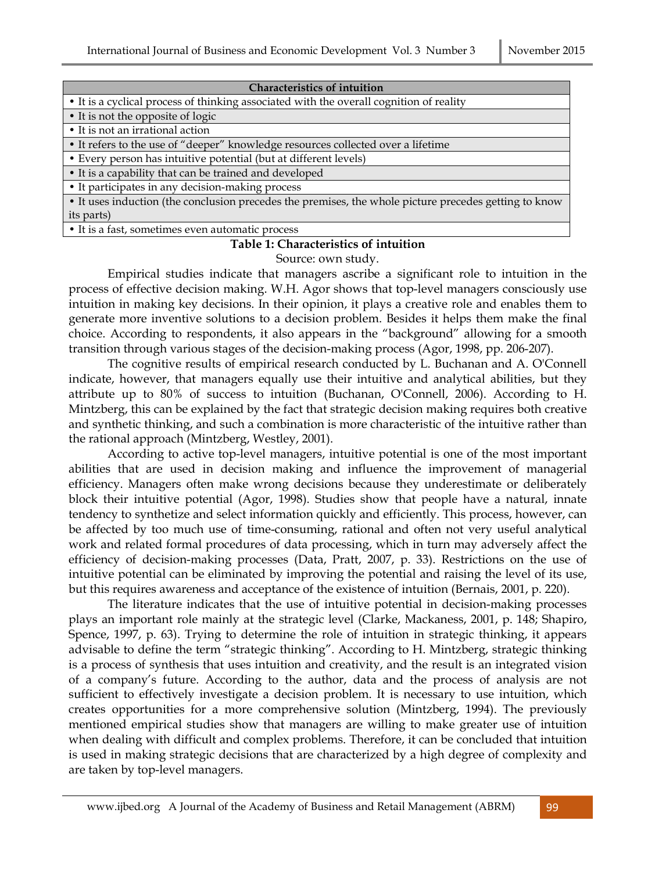| <b>Characteristics of intuition</b>                                                                   |
|-------------------------------------------------------------------------------------------------------|
| • It is a cyclical process of thinking associated with the overall cognition of reality               |
| • It is not the opposite of logic                                                                     |
| • It is not an irrational action                                                                      |
| • It refers to the use of "deeper" knowledge resources collected over a lifetime                      |
| • Every person has intuitive potential (but at different levels)                                      |
| • It is a capability that can be trained and developed                                                |
| • It participates in any decision-making process                                                      |
| • It uses induction (the conclusion precedes the premises, the whole picture precedes getting to know |
| its parts)                                                                                            |

• It is a fast, sometimes even automatic process

#### **Table 1: Characteristics of intuition**

Source: own study.

Empirical studies indicate that managers ascribe a significant role to intuition in the process of effective decision making. W.H. Agor shows that top-level managers consciously use intuition in making key decisions. In their opinion, it plays a creative role and enables them to generate more inventive solutions to a decision problem. Besides it helps them make the final choice. According to respondents, it also appears in the "background" allowing for a smooth transition through various stages of the decision-making process (Agor, 1998, pp. 206-207).

The cognitive results of empirical research conducted by L. Buchanan and A. O'Connell indicate, however, that managers equally use their intuitive and analytical abilities, but they attribute up to 80% of success to intuition (Buchanan, O'Connell, 2006). According to H. Mintzberg, this can be explained by the fact that strategic decision making requires both creative and synthetic thinking, and such a combination is more characteristic of the intuitive rather than the rational approach (Mintzberg, Westley, 2001).

According to active top-level managers, intuitive potential is one of the most important abilities that are used in decision making and influence the improvement of managerial efficiency. Managers often make wrong decisions because they underestimate or deliberately block their intuitive potential (Agor, 1998). Studies show that people have a natural, innate tendency to synthetize and select information quickly and efficiently. This process, however, can be affected by too much use of time-consuming, rational and often not very useful analytical work and related formal procedures of data processing, which in turn may adversely affect the efficiency of decision-making processes (Data, Pratt, 2007, p. 33). Restrictions on the use of intuitive potential can be eliminated by improving the potential and raising the level of its use, but this requires awareness and acceptance of the existence of intuition (Bernais, 2001, p. 220).

The literature indicates that the use of intuitive potential in decision-making processes plays an important role mainly at the strategic level (Clarke, Mackaness, 2001, p. 148; Shapiro, Spence, 1997, p. 63). Trying to determine the role of intuition in strategic thinking, it appears advisable to define the term "strategic thinking". According to H. Mintzberg, strategic thinking is a process of synthesis that uses intuition and creativity, and the result is an integrated vision of a company's future. According to the author, data and the process of analysis are not sufficient to effectively investigate a decision problem. It is necessary to use intuition, which creates opportunities for a more comprehensive solution (Mintzberg, 1994). The previously mentioned empirical studies show that managers are willing to make greater use of intuition when dealing with difficult and complex problems. Therefore, it can be concluded that intuition is used in making strategic decisions that are characterized by a high degree of complexity and are taken by top-level managers.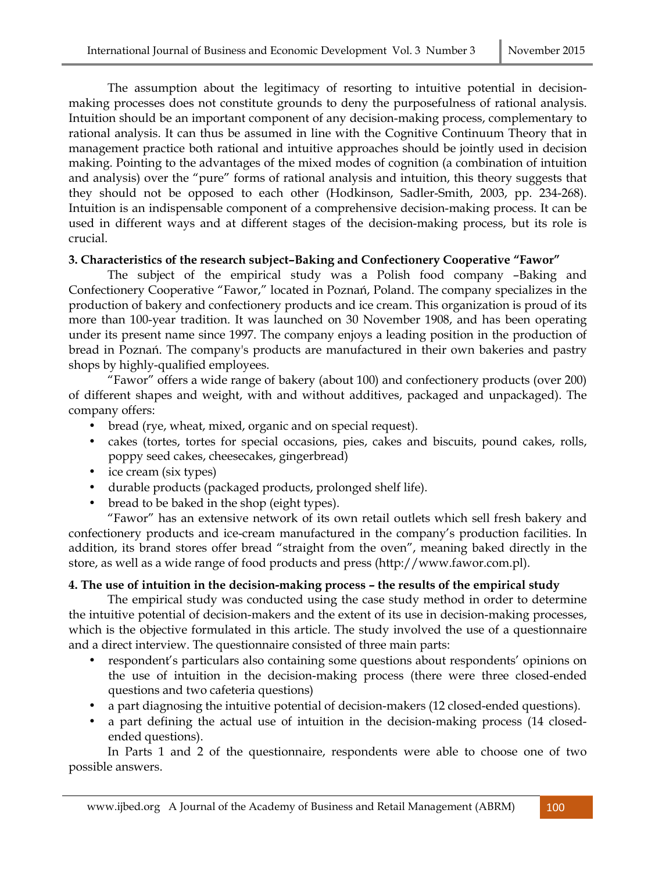The assumption about the legitimacy of resorting to intuitive potential in decisionmaking processes does not constitute grounds to deny the purposefulness of rational analysis. Intuition should be an important component of any decision-making process, complementary to rational analysis. It can thus be assumed in line with the Cognitive Continuum Theory that in management practice both rational and intuitive approaches should be jointly used in decision making. Pointing to the advantages of the mixed modes of cognition (a combination of intuition and analysis) over the "pure" forms of rational analysis and intuition, this theory suggests that they should not be opposed to each other (Hodkinson, Sadler-Smith, 2003, pp. 234-268). Intuition is an indispensable component of a comprehensive decision-making process. It can be used in different ways and at different stages of the decision-making process, but its role is crucial.

#### **3. Characteristics of the research subject–Baking and Confectionery Cooperative "Fawor"**

The subject of the empirical study was a Polish food company –Baking and Confectionery Cooperative "Fawor," located in Poznań, Poland. The company specializes in the production of bakery and confectionery products and ice cream. This organization is proud of its more than 100-year tradition. It was launched on 30 November 1908, and has been operating under its present name since 1997. The company enjoys a leading position in the production of bread in Poznań. The company's products are manufactured in their own bakeries and pastry shops by highly-qualified employees.

"Fawor" offers a wide range of bakery (about 100) and confectionery products (over 200) of different shapes and weight, with and without additives, packaged and unpackaged). The company offers:

- bread (rye, wheat, mixed, organic and on special request).
- cakes (tortes, tortes for special occasions, pies, cakes and biscuits, pound cakes, rolls, poppy seed cakes, cheesecakes, gingerbread)
- ice cream (six types)
- durable products (packaged products, prolonged shelf life).
- bread to be baked in the shop (eight types).

"Fawor" has an extensive network of its own retail outlets which sell fresh bakery and confectionery products and ice-cream manufactured in the company's production facilities. In addition, its brand stores offer bread "straight from the oven", meaning baked directly in the store, as well as a wide range of food products and press (http://www.fawor.com.pl).

# **4. The use of intuition in the decision-making process – the results of the empirical study**

The empirical study was conducted using the case study method in order to determine the intuitive potential of decision-makers and the extent of its use in decision-making processes, which is the objective formulated in this article. The study involved the use of a questionnaire and a direct interview. The questionnaire consisted of three main parts:

- respondent's particulars also containing some questions about respondents' opinions on the use of intuition in the decision-making process (there were three closed-ended questions and two cafeteria questions)
- a part diagnosing the intuitive potential of decision-makers (12 closed-ended questions).
- a part defining the actual use of intuition in the decision-making process (14 closedended questions).

In Parts 1 and 2 of the questionnaire, respondents were able to choose one of two possible answers.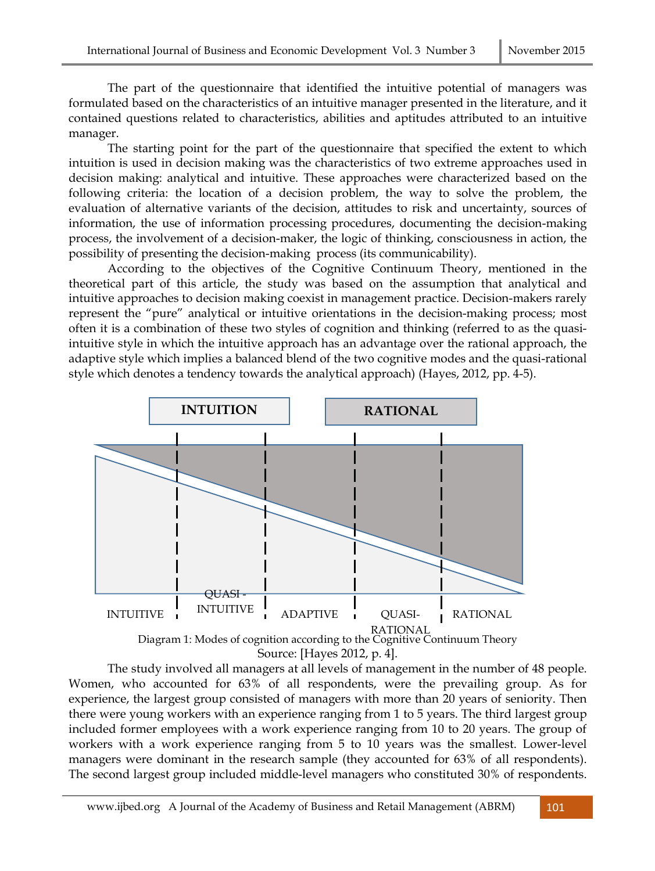The part of the questionnaire that identified the intuitive potential of managers was formulated based on the characteristics of an intuitive manager presented in the literature, and it contained questions related to characteristics, abilities and aptitudes attributed to an intuitive manager.

The starting point for the part of the questionnaire that specified the extent to which intuition is used in decision making was the characteristics of two extreme approaches used in decision making: analytical and intuitive. These approaches were characterized based on the following criteria: the location of a decision problem, the way to solve the problem, the evaluation of alternative variants of the decision, attitudes to risk and uncertainty, sources of information, the use of information processing procedures, documenting the decision-making process, the involvement of a decision-maker, the logic of thinking, consciousness in action, the possibility of presenting the decision-making process (its communicability).

According to the objectives of the Cognitive Continuum Theory, mentioned in the theoretical part of this article, the study was based on the assumption that analytical and intuitive approaches to decision making coexist in management practice. Decision-makers rarely represent the "pure" analytical or intuitive orientations in the decision-making process; most often it is a combination of these two styles of cognition and thinking (referred to as the quasiintuitive style in which the intuitive approach has an advantage over the rational approach, the adaptive style which implies a balanced blend of the two cognitive modes and the quasi-rational style which denotes a tendency towards the analytical approach) (Hayes, 2012, pp. 4-5).



The study involved all managers at all levels of management in the number of 48 people. Women, who accounted for 63% of all respondents, were the prevailing group. As for experience, the largest group consisted of managers with more than 20 years of seniority. Then there were young workers with an experience ranging from 1 to 5 years. The third largest group included former employees with a work experience ranging from 10 to 20 years. The group of workers with a work experience ranging from 5 to 10 years was the smallest. Lower-level managers were dominant in the research sample (they accounted for 63% of all respondents). The second largest group included middle-level managers who constituted 30% of respondents.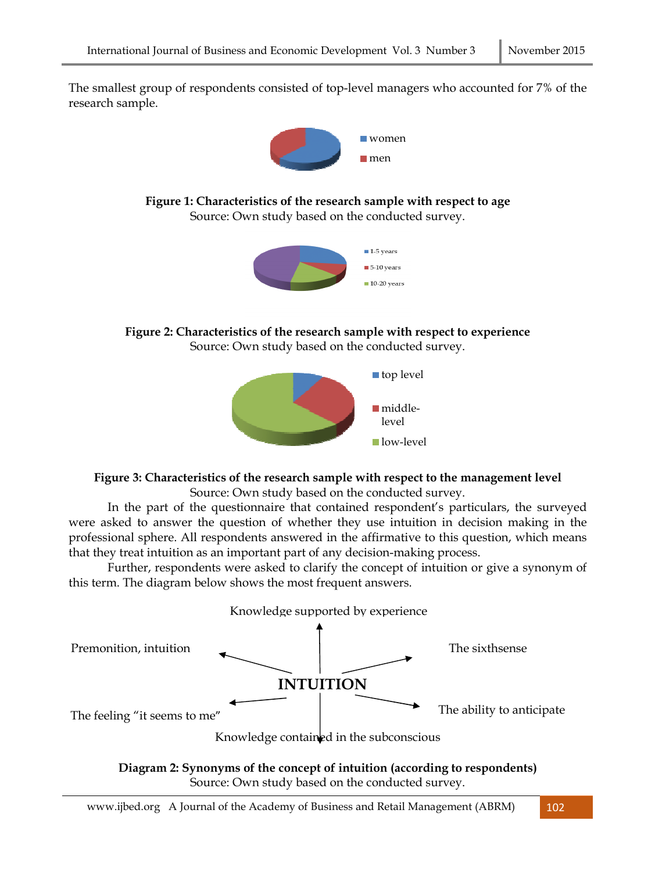The smallest group of respondents consisted of top-level managers who accounted for 7% of the research sample.



**Figure 1: Characteristics of the research sample with respect to age**  Source: Own study based on the conducted survey.



**Figure 2: Characteristics of the research sample with respect to experience**  Source: Own study based on the conducted survey.



# **Figure 3: Characteristics of the research sample with respect to the management level**

Source: Own study based on the conducted survey.

In the part of the questionnaire that contained respondent's particulars, the surveyed were asked to answer the question of whether they use intuition in decision making in the professional sphere. All respondents answered in the affirmative to this question, which means that they treat intuition as an important part of any decision-making process.

Further, respondents were asked to clarify the concept of intuition or give a synonym of this term. The diagram below shows the most frequent answers.



**Diagram 2: Synonyms of the concept of intuition (according to respondents)**  Source: Own study based on the conducted survey.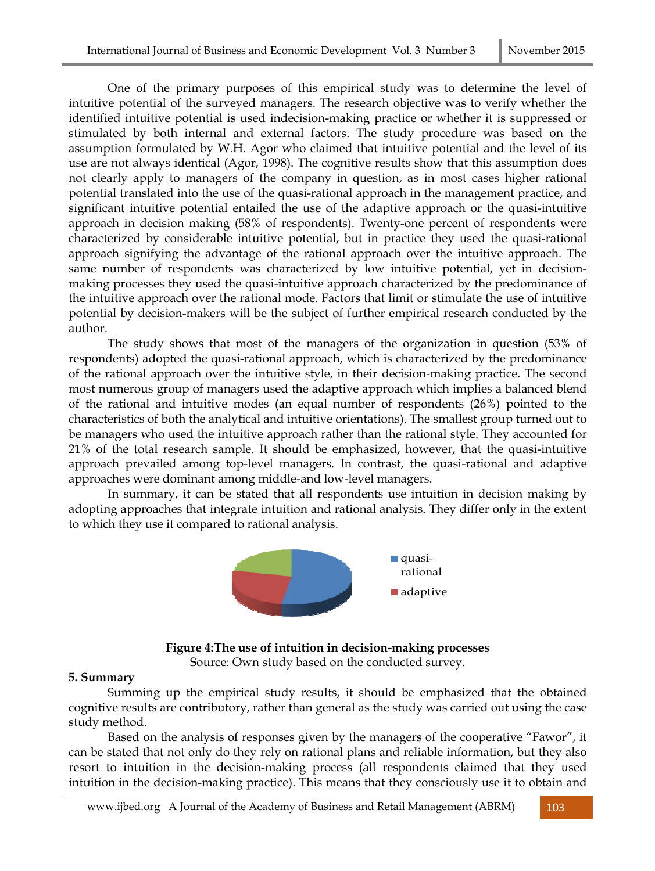One of the primary purposes of this empirical study was to determine the level of intuitive potential of the surveyed managers. The research objective was to verify whether the identified intuitive potential is used indecision-making practice or whether it is suppressed or stimulated by both internal and external factors. The study procedure was based on the assumption formulated by W.H. Agor who claimed that intuitive potential and the level of its use are not always identical (Agor, 1998). The cognitive results show that this assumption does not clearly apply to managers of the company in question, as in most cases higher rational potential translated into the use of the quasi-rational approach in the management practice, and significant intuitive potential entailed the use of the adaptive approach or the quasi-intuitive approach in decision making (58% of respondents). Twenty-one percent of respondents were characterized by considerable intuitive potential, but in practice they used the quasi-rational approach signifying the advantage of the rational approach over the intuitive approach. The same number of respondents was characterized by low intuitive potential, yet in decisionmaking processes they used the quasi-intuitive approach characterized by the predominance of the intuitive approach over the rational mode. Factors that limit or stimulate the use of intuitive potential by decision-makers will be the subject of further empirical research conducted by the author.

The study shows that most of the managers of the organization in question (53% of respondents) adopted the quasi-rational approach, which is characterized by the predominance of the rational approach over the intuitive style, in their decision-making practice. The second most numerous group of managers used the adaptive approach which implies a balanced blend of the rational and intuitive modes (an equal number of respondents (26%) pointed to the characteristics of both the analytical and intuitive orientations). The smallest group turned out to be managers who used the intuitive approach rather than the rational style. They accounted for 21% of the total research sample. It should be emphasized, however, that the quasi-intuitive approach prevailed among top-level managers. In contrast, the quasi-rational and adaptive approaches were dominant among middle-and low-level managers.

In summary, it can be stated that all respondents use intuition in decision making by adopting approaches that integrate intuition and rational analysis. They differ only in the extent to which they use it compared to rational analysis.



# **Figure 4:The use of intuition in decision-making processes**

Source: Own study based on the conducted survey.

# **5. Summary**

Summing up the empirical study results, it should be emphasized that the obtained cognitive results are contributory, rather than general as the study was carried out using the case study method.

Based on the analysis of responses given by the managers of the cooperative "Fawor", it can be stated that not only do they rely on rational plans and reliable information, but they also resort to intuition in the decision-making process (all respondents claimed that they used intuition in the decision-making practice). This means that they consciously use it to obtain and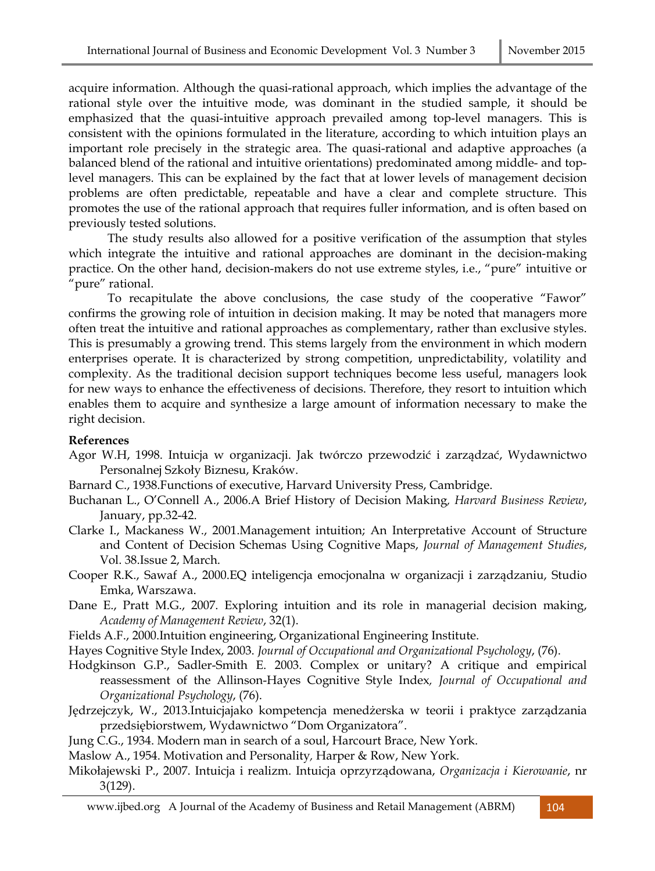acquire information. Although the quasi-rational approach, which implies the advantage of the rational style over the intuitive mode, was dominant in the studied sample, it should be emphasized that the quasi-intuitive approach prevailed among top-level managers. This is consistent with the opinions formulated in the literature, according to which intuition plays an important role precisely in the strategic area. The quasi-rational and adaptive approaches (a balanced blend of the rational and intuitive orientations) predominated among middle- and toplevel managers. This can be explained by the fact that at lower levels of management decision problems are often predictable, repeatable and have a clear and complete structure. This promotes the use of the rational approach that requires fuller information, and is often based on previously tested solutions.

The study results also allowed for a positive verification of the assumption that styles which integrate the intuitive and rational approaches are dominant in the decision-making practice. On the other hand, decision-makers do not use extreme styles, i.e., "pure" intuitive or "pure" rational.

To recapitulate the above conclusions, the case study of the cooperative "Fawor" confirms the growing role of intuition in decision making. It may be noted that managers more often treat the intuitive and rational approaches as complementary, rather than exclusive styles. This is presumably a growing trend. This stems largely from the environment in which modern enterprises operate. It is characterized by strong competition, unpredictability, volatility and complexity. As the traditional decision support techniques become less useful, managers look for new ways to enhance the effectiveness of decisions. Therefore, they resort to intuition which enables them to acquire and synthesize a large amount of information necessary to make the right decision.

#### **References**

- Agor W.H, 1998. Intuicja w organizacji. Jak twórczo przewodzić i zarządzać, Wydawnictwo Personalnej Szkoły Biznesu, Kraków.
- Barnard C., 1938.Functions of executive, Harvard University Press, Cambridge.
- Buchanan L., O'Connell A., 2006.A Brief History of Decision Making*, Harvard Business Review*, January, pp.32-42.
- Clarke I., Mackaness W., 2001.Management intuition; An Interpretative Account of Structure and Content of Decision Schemas Using Cognitive Maps, *Journal of Management Studies*, Vol. 38.Issue 2, March.
- Cooper R.K., Sawaf A., 2000.EQ inteligencja emocjonalna w organizacji i zarządzaniu, Studio Emka, Warszawa.
- Dane E., Pratt M.G., 2007. Exploring intuition and its role in managerial decision making, *Academy of Management Review*, 32(1).
- Fields A.F., 2000.Intuition engineering, Organizational Engineering Institute.

Hayes Cognitive Style Index, 2003. *Journal of Occupational and Organizational Psychology*, (76).

- Hodgkinson G.P., Sadler-Smith E. 2003. Complex or unitary? A critique and empirical reassessment of the Allinson-Hayes Cognitive Style Index*, Journal of Occupational and Organizational Psychology*, (76).
- Jędrzejczyk, W., 2013.Intuicjajako kompetencja menedżerska w teorii i praktyce zarządzania przedsiębiorstwem, Wydawnictwo "Dom Organizatora".
- Jung C.G., 1934. Modern man in search of a soul, Harcourt Brace, New York.

Maslow A., 1954. Motivation and Personality*,* Harper & Row, New York.

Mikołajewski P., 2007. Intuicja i realizm. Intuicja oprzyrządowana, *Organizacja i Kierowanie*, nr 3(129).